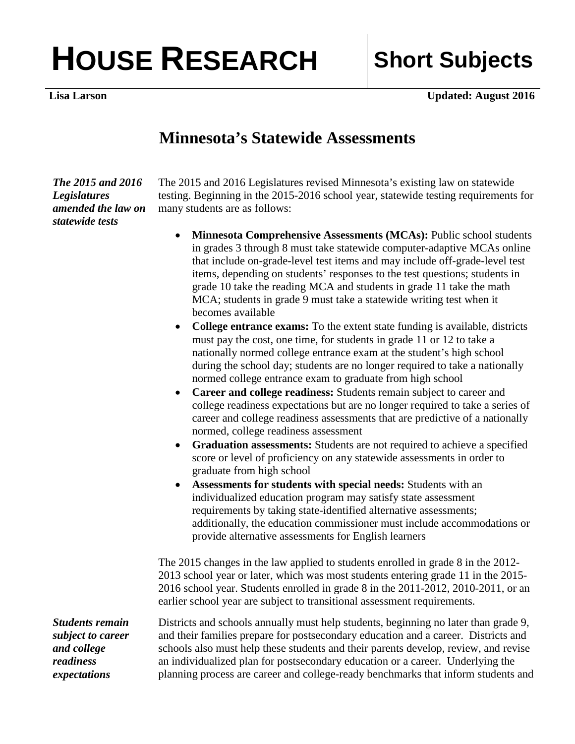## HOUSE RESEARCH Short Subjects

**Lisa Larson Updated: August 2016** 

## **Minnesota's Statewide Assessments**

*The 2015 and 2016 Legislatures amended the law on statewide tests* 

The 2015 and 2016 Legislatures revised Minnesota's existing law on statewide testing. Beginning in the 2015-2016 school year, statewide testing requirements for many students are as follows:

- **Minnesota Comprehensive Assessments (MCAs):** Public school students in grades 3 through 8 must take statewide computer-adaptive MCAs online that include on-grade-level test items and may include off-grade-level test items, depending on students' responses to the test questions; students in grade 10 take the reading MCA and students in grade 11 take the math MCA; students in grade 9 must take a statewide writing test when it becomes available
- **College entrance exams:** To the extent state funding is available, districts must pay the cost, one time, for students in grade 11 or 12 to take a nationally normed college entrance exam at the student's high school during the school day; students are no longer required to take a nationally normed college entrance exam to graduate from high school
- **Career and college readiness:** Students remain subject to career and college readiness expectations but are no longer required to take a series of career and college readiness assessments that are predictive of a nationally normed, college readiness assessment
- **Graduation assessments:** Students are not required to achieve a specified score or level of proficiency on any statewide assessments in order to graduate from high school
- **Assessments for students with special needs:** Students with an individualized education program may satisfy state assessment requirements by taking state-identified alternative assessments; additionally, the education commissioner must include accommodations or provide alternative assessments for English learners

The 2015 changes in the law applied to students enrolled in grade 8 in the 2012- 2013 school year or later, which was most students entering grade 11 in the 2015- 2016 school year. Students enrolled in grade 8 in the 2011-2012, 2010-2011, or an earlier school year are subject to transitional assessment requirements.

Districts and schools annually must help students, beginning no later than grade 9, and their families prepare for postsecondary education and a career. Districts and schools also must help these students and their parents develop, review, and revise an individualized plan for postsecondary education or a career. Underlying the planning process are career and college-ready benchmarks that inform students and

*Students remain subject to career and college readiness expectations*